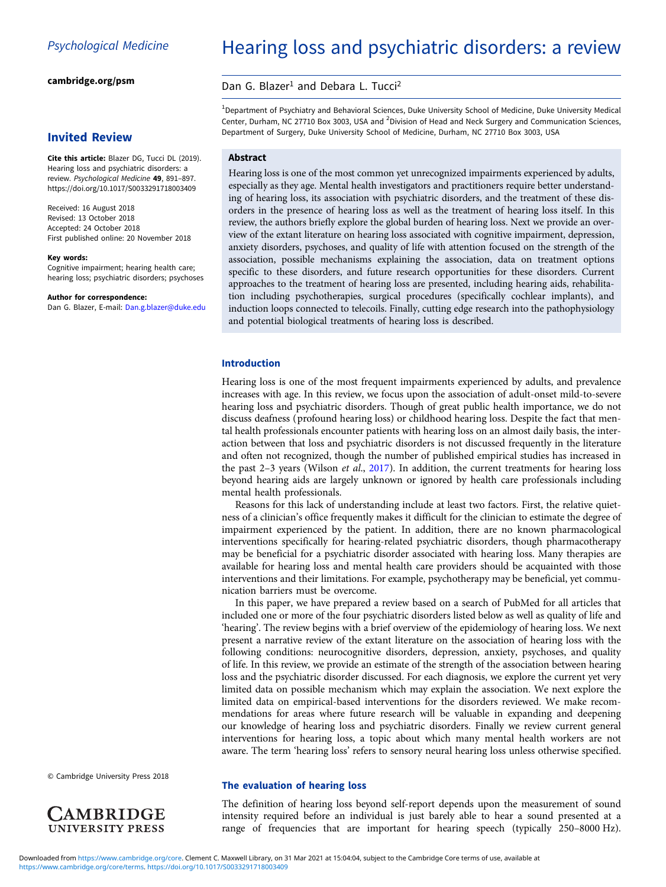## [cambridge.org/psm](https://www.cambridge.org/psm)

## Invited Review

Cite this article: Blazer DG, Tucci DL (2019). Hearing loss and psychiatric disorders: a review. Psychological Medicine 49, 891–897. <https://doi.org/10.1017/S0033291718003409>

Received: 16 August 2018 Revised: 13 October 2018 Accepted: 24 October 2018 First published online: 20 November 2018

#### Key words:

Cognitive impairment; hearing health care; hearing loss; psychiatric disorders; psychoses

Author for correspondence:

Dan G. Blazer, E-mail: [Dan.g.blazer@duke.edu](mailto:Dan.g.blazer@duke.edu)

# Hearing loss and psychiatric disorders: a review

## Dan G. Blazer<sup>1</sup> and Debara L. Tucci<sup>2</sup>

<sup>1</sup>Department of Psychiatry and Behavioral Sciences, Duke University School of Medicine, Duke University Medical Center, Durham, NC 27710 Box 3003, USA and <sup>2</sup>Division of Head and Neck Surgery and Communication Sciences, Department of Surgery, Duke University School of Medicine, Durham, NC 27710 Box 3003, USA

## Abstract

Hearing loss is one of the most common yet unrecognized impairments experienced by adults, especially as they age. Mental health investigators and practitioners require better understanding of hearing loss, its association with psychiatric disorders, and the treatment of these disorders in the presence of hearing loss as well as the treatment of hearing loss itself. In this review, the authors briefly explore the global burden of hearing loss. Next we provide an overview of the extant literature on hearing loss associated with cognitive impairment, depression, anxiety disorders, psychoses, and quality of life with attention focused on the strength of the association, possible mechanisms explaining the association, data on treatment options specific to these disorders, and future research opportunities for these disorders. Current approaches to the treatment of hearing loss are presented, including hearing aids, rehabilitation including psychotherapies, surgical procedures (specifically cochlear implants), and induction loops connected to telecoils. Finally, cutting edge research into the pathophysiology and potential biological treatments of hearing loss is described.

## Introduction

Hearing loss is one of the most frequent impairments experienced by adults, and prevalence increases with age. In this review, we focus upon the association of adult-onset mild-to-severe hearing loss and psychiatric disorders. Though of great public health importance, we do not discuss deafness (profound hearing loss) or childhood hearing loss. Despite the fact that mental health professionals encounter patients with hearing loss on an almost daily basis, the interaction between that loss and psychiatric disorders is not discussed frequently in the literature and often not recognized, though the number of published empirical studies has increased in the past  $2-3$  years (Wilson *et al.*, [2017](#page-6-0)). In addition, the current treatments for hearing loss beyond hearing aids are largely unknown or ignored by health care professionals including mental health professionals.

Reasons for this lack of understanding include at least two factors. First, the relative quietness of a clinician's office frequently makes it difficult for the clinician to estimate the degree of impairment experienced by the patient. In addition, there are no known pharmacological interventions specifically for hearing-related psychiatric disorders, though pharmacotherapy may be beneficial for a psychiatric disorder associated with hearing loss. Many therapies are available for hearing loss and mental health care providers should be acquainted with those interventions and their limitations. For example, psychotherapy may be beneficial, yet communication barriers must be overcome.

In this paper, we have prepared a review based on a search of PubMed for all articles that included one or more of the four psychiatric disorders listed below as well as quality of life and 'hearing'. The review begins with a brief overview of the epidemiology of hearing loss. We next present a narrative review of the extant literature on the association of hearing loss with the following conditions: neurocognitive disorders, depression, anxiety, psychoses, and quality of life. In this review, we provide an estimate of the strength of the association between hearing loss and the psychiatric disorder discussed. For each diagnosis, we explore the current yet very limited data on possible mechanism which may explain the association. We next explore the limited data on empirical-based interventions for the disorders reviewed. We make recommendations for areas where future research will be valuable in expanding and deepening our knowledge of hearing loss and psychiatric disorders. Finally we review current general interventions for hearing loss, a topic about which many mental health workers are not aware. The term 'hearing loss' refers to sensory neural hearing loss unless otherwise specified.

© Cambridge University Press 2018



## The evaluation of hearing loss

The definition of hearing loss beyond self-report depends upon the measurement of sound intensity required before an individual is just barely able to hear a sound presented at a range of frequencies that are important for hearing speech (typically 250–8000 Hz).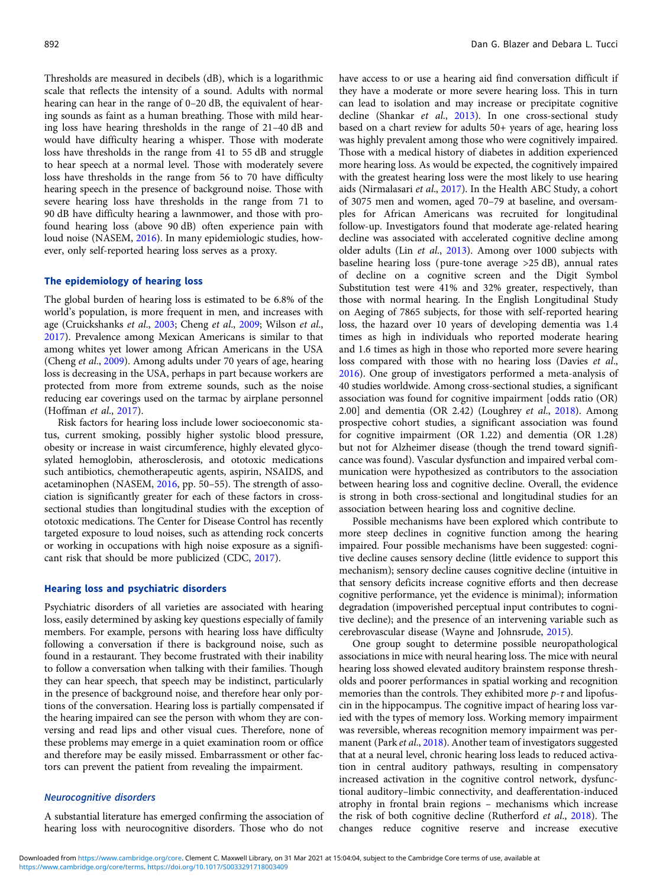Thresholds are measured in decibels (dB), which is a logarithmic scale that reflects the intensity of a sound. Adults with normal hearing can hear in the range of 0–20 dB, the equivalent of hearing sounds as faint as a human breathing. Those with mild hearing loss have hearing thresholds in the range of 21–40 dB and would have difficulty hearing a whisper. Those with moderate loss have thresholds in the range from 41 to 55 dB and struggle to hear speech at a normal level. Those with moderately severe loss have thresholds in the range from 56 to 70 have difficulty hearing speech in the presence of background noise. Those with severe hearing loss have thresholds in the range from 71 to 90 dB have difficulty hearing a lawnmower, and those with profound hearing loss (above 90 dB) often experience pain with loud noise (NASEM, [2016](#page-6-0)). In many epidemiologic studies, however, only self-reported hearing loss serves as a proxy.

## The epidemiology of hearing loss

The global burden of hearing loss is estimated to be 6.8% of the world's population, is more frequent in men, and increases with age (Cruickshanks et al., [2003](#page-5-0); Cheng et al., [2009](#page-5-0); Wilson et al., [2017\)](#page-6-0). Prevalence among Mexican Americans is similar to that among whites yet lower among African Americans in the USA (Cheng et al., [2009](#page-5-0)). Among adults under 70 years of age, hearing loss is decreasing in the USA, perhaps in part because workers are protected from more from extreme sounds, such as the noise reducing ear coverings used on the tarmac by airplane personnel (Hoffman et al., [2017](#page-5-0)).

Risk factors for hearing loss include lower socioeconomic status, current smoking, possibly higher systolic blood pressure, obesity or increase in waist circumference, highly elevated glycosylated hemoglobin, atherosclerosis, and ototoxic medications such antibiotics, chemotherapeutic agents, aspirin, NSAIDS, and acetaminophen (NASEM, [2016,](#page-6-0) pp. 50–55). The strength of association is significantly greater for each of these factors in crosssectional studies than longitudinal studies with the exception of ototoxic medications. The Center for Disease Control has recently targeted exposure to loud noises, such as attending rock concerts or working in occupations with high noise exposure as a significant risk that should be more publicized (CDC, [2017\)](#page-5-0).

#### Hearing loss and psychiatric disorders

Psychiatric disorders of all varieties are associated with hearing loss, easily determined by asking key questions especially of family members. For example, persons with hearing loss have difficulty following a conversation if there is background noise, such as found in a restaurant. They become frustrated with their inability to follow a conversation when talking with their families. Though they can hear speech, that speech may be indistinct, particularly in the presence of background noise, and therefore hear only portions of the conversation. Hearing loss is partially compensated if the hearing impaired can see the person with whom they are conversing and read lips and other visual cues. Therefore, none of these problems may emerge in a quiet examination room or office and therefore may be easily missed. Embarrassment or other factors can prevent the patient from revealing the impairment.

## Neurocognitive disorders

A substantial literature has emerged confirming the association of hearing loss with neurocognitive disorders. Those who do not have access to or use a hearing aid find conversation difficult if they have a moderate or more severe hearing loss. This in turn can lead to isolation and may increase or precipitate cognitive decline (Shankar et al., [2013\)](#page-6-0). In one cross-sectional study based on a chart review for adults 50+ years of age, hearing loss was highly prevalent among those who were cognitively impaired. Those with a medical history of diabetes in addition experienced more hearing loss. As would be expected, the cognitively impaired with the greatest hearing loss were the most likely to use hearing aids (Nirmalasari et al., [2017\)](#page-6-0). In the Health ABC Study, a cohort of 3075 men and women, aged 70–79 at baseline, and oversamples for African Americans was recruited for longitudinal follow-up. Investigators found that moderate age-related hearing decline was associated with accelerated cognitive decline among older adults (Lin et al., [2013\)](#page-5-0). Among over 1000 subjects with baseline hearing loss (pure-tone average >25 dB), annual rates of decline on a cognitive screen and the Digit Symbol Substitution test were 41% and 32% greater, respectively, than those with normal hearing. In the English Longitudinal Study on Aeging of 7865 subjects, for those with self-reported hearing loss, the hazard over 10 years of developing dementia was 1.4 times as high in individuals who reported moderate hearing and 1.6 times as high in those who reported more severe hearing loss compared with those with no hearing loss (Davies et al., [2016\)](#page-5-0). One group of investigators performed a meta-analysis of 40 studies worldwide. Among cross-sectional studies, a significant association was found for cognitive impairment [odds ratio (OR)  $2.00$ ] and dementia (OR 2.42) (Loughrey et al.,  $2018$ ). Among prospective cohort studies, a significant association was found for cognitive impairment (OR 1.22) and dementia (OR 1.28) but not for Alzheimer disease (though the trend toward significance was found). Vascular dysfunction and impaired verbal communication were hypothesized as contributors to the association between hearing loss and cognitive decline. Overall, the evidence is strong in both cross-sectional and longitudinal studies for an association between hearing loss and cognitive decline.

Possible mechanisms have been explored which contribute to more steep declines in cognitive function among the hearing impaired. Four possible mechanisms have been suggested: cognitive decline causes sensory decline (little evidence to support this mechanism); sensory decline causes cognitive decline (intuitive in that sensory deficits increase cognitive efforts and then decrease cognitive performance, yet the evidence is minimal); information degradation (impoverished perceptual input contributes to cognitive decline); and the presence of an intervening variable such as cerebrovascular disease (Wayne and Johnsrude, [2015](#page-6-0)).

One group sought to determine possible neuropathological associations in mice with neural hearing loss. The mice with neural hearing loss showed elevated auditory brainstem response thresholds and poorer performances in spatial working and recognition memories than the controls. They exhibited more  $p$ - $\tau$  and lipofuscin in the hippocampus. The cognitive impact of hearing loss varied with the types of memory loss. Working memory impairment was reversible, whereas recognition memory impairment was permanent (Park et al., [2018\)](#page-6-0). Another team of investigators suggested that at a neural level, chronic hearing loss leads to reduced activation in central auditory pathways, resulting in compensatory increased activation in the cognitive control network, dysfunctional auditory–limbic connectivity, and deafferentation-induced atrophy in frontal brain regions – mechanisms which increase the risk of both cognitive decline (Rutherford et al., [2018\)](#page-6-0). The changes reduce cognitive reserve and increase executive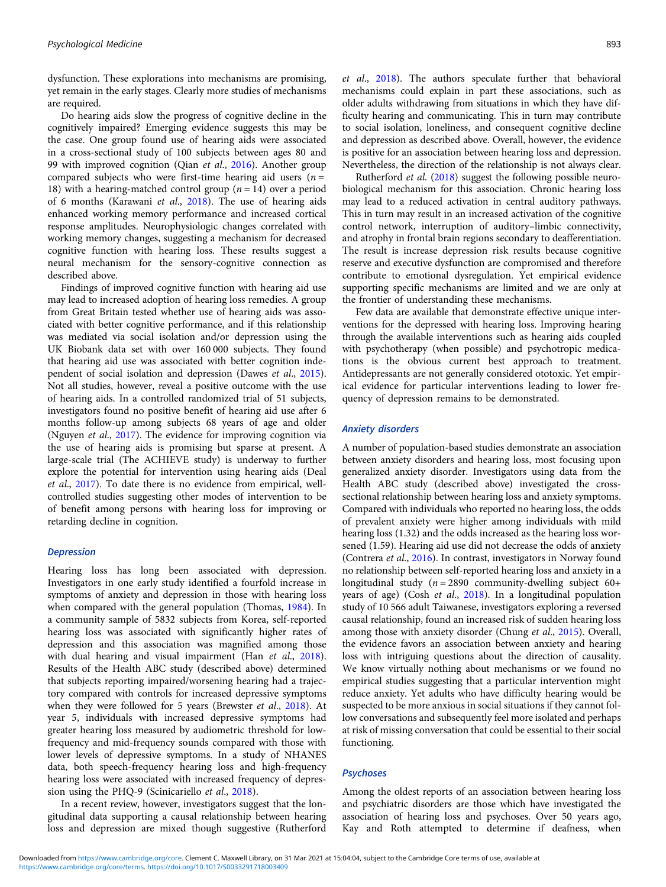dysfunction. These explorations into mechanisms are promising, yet remain in the early stages. Clearly more studies of mechanisms are required.

Do hearing aids slow the progress of cognitive decline in the cognitively impaired? Emerging evidence suggests this may be the case. One group found use of hearing aids were associated in a cross-sectional study of 100 subjects between ages 80 and 99 with improved cognition (Qian et al., [2016\)](#page-6-0). Another group compared subjects who were first-time hearing aid users  $(n =$ 18) with a hearing-matched control group ( $n = 14$ ) over a period of 6 months (Karawani et al., [2018\)](#page-5-0). The use of hearing aids enhanced working memory performance and increased cortical response amplitudes. Neurophysiologic changes correlated with working memory changes, suggesting a mechanism for decreased cognitive function with hearing loss. These results suggest a neural mechanism for the sensory-cognitive connection as described above.

Findings of improved cognitive function with hearing aid use may lead to increased adoption of hearing loss remedies. A group from Great Britain tested whether use of hearing aids was associated with better cognitive performance, and if this relationship was mediated via social isolation and/or depression using the UK Biobank data set with over 160 000 subjects. They found that hearing aid use was associated with better cognition independent of social isolation and depression (Dawes et al., [2015\)](#page-5-0). Not all studies, however, reveal a positive outcome with the use of hearing aids. In a controlled randomized trial of 51 subjects, investigators found no positive benefit of hearing aid use after 6 months follow-up among subjects 68 years of age and older (Nguyen et al., [2017](#page-6-0)). The evidence for improving cognition via the use of hearing aids is promising but sparse at present. A large-scale trial (The ACHIEVE study) is underway to further explore the potential for intervention using hearing aids (Deal et al., [2017\)](#page-5-0). To date there is no evidence from empirical, wellcontrolled studies suggesting other modes of intervention to be of benefit among persons with hearing loss for improving or retarding decline in cognition.

#### Depression

Hearing loss has long been associated with depression. Investigators in one early study identified a fourfold increase in symptoms of anxiety and depression in those with hearing loss when compared with the general population (Thomas, [1984](#page-6-0)). In a community sample of 5832 subjects from Korea, self-reported hearing loss was associated with significantly higher rates of depression and this association was magnified among those with dual hearing and visual impairment (Han et al., [2018\)](#page-5-0). Results of the Health ABC study (described above) determined that subjects reporting impaired/worsening hearing had a trajectory compared with controls for increased depressive symptoms when they were followed for 5 years (Brewster *et al.*, [2018](#page-5-0)). At year 5, individuals with increased depressive symptoms had greater hearing loss measured by audiometric threshold for lowfrequency and mid-frequency sounds compared with those with lower levels of depressive symptoms. In a study of NHANES data, both speech-frequency hearing loss and high-frequency hearing loss were associated with increased frequency of depression using the PHQ-9 (Scinicariello et al., [2018\)](#page-6-0).

In a recent review, however, investigators suggest that the longitudinal data supporting a causal relationship between hearing loss and depression are mixed though suggestive (Rutherford et al., [2018\)](#page-6-0). The authors speculate further that behavioral mechanisms could explain in part these associations, such as older adults withdrawing from situations in which they have difficulty hearing and communicating. This in turn may contribute to social isolation, loneliness, and consequent cognitive decline and depression as described above. Overall, however, the evidence is positive for an association between hearing loss and depression. Nevertheless, the direction of the relationship is not always clear.

Rutherford et al. [\(2018\)](#page-6-0) suggest the following possible neurobiological mechanism for this association. Chronic hearing loss may lead to a reduced activation in central auditory pathways. This in turn may result in an increased activation of the cognitive control network, interruption of auditory–limbic connectivity, and atrophy in frontal brain regions secondary to deafferentiation. The result is increase depression risk results because cognitive reserve and executive dysfunction are compromised and therefore contribute to emotional dysregulation. Yet empirical evidence supporting specific mechanisms are limited and we are only at the frontier of understanding these mechanisms.

Few data are available that demonstrate effective unique interventions for the depressed with hearing loss. Improving hearing through the available interventions such as hearing aids coupled with psychotherapy (when possible) and psychotropic medications is the obvious current best approach to treatment. Antidepressants are not generally considered ototoxic. Yet empirical evidence for particular interventions leading to lower frequency of depression remains to be demonstrated.

#### Anxiety disorders

A number of population-based studies demonstrate an association between anxiety disorders and hearing loss, most focusing upon generalized anxiety disorder. Investigators using data from the Health ABC study (described above) investigated the crosssectional relationship between hearing loss and anxiety symptoms. Compared with individuals who reported no hearing loss, the odds of prevalent anxiety were higher among individuals with mild hearing loss (1.32) and the odds increased as the hearing loss worsened (1.59). Hearing aid use did not decrease the odds of anxiety (Contrera et al., [2016\)](#page-5-0). In contrast, investigators in Norway found no relationship between self-reported hearing loss and anxiety in a longitudinal study ( $n = 2890$  community-dwelling subject 60+ years of age) (Cosh et al., [2018](#page-5-0)). In a longitudinal population study of 10 566 adult Taiwanese, investigators exploring a reversed causal relationship, found an increased risk of sudden hearing loss among those with anxiety disorder (Chung et al., [2015\)](#page-5-0). Overall, the evidence favors an association between anxiety and hearing loss with intriguing questions about the direction of causality. We know virtually nothing about mechanisms or we found no empirical studies suggesting that a particular intervention might reduce anxiety. Yet adults who have difficulty hearing would be suspected to be more anxious in social situations if they cannot follow conversations and subsequently feel more isolated and perhaps at risk of missing conversation that could be essential to their social functioning.

### Psychoses

Among the oldest reports of an association between hearing loss and psychiatric disorders are those which have investigated the association of hearing loss and psychoses. Over 50 years ago, Kay and Roth attempted to determine if deafness, when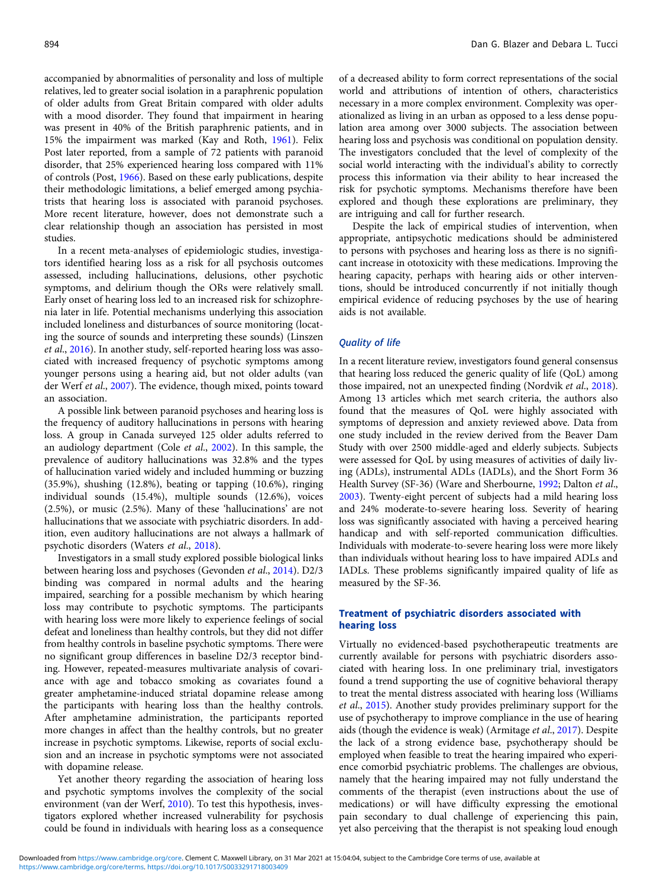accompanied by abnormalities of personality and loss of multiple relatives, led to greater social isolation in a paraphrenic population of older adults from Great Britain compared with older adults with a mood disorder. They found that impairment in hearing was present in 40% of the British paraphrenic patients, and in 15% the impairment was marked (Kay and Roth, [1961](#page-5-0)). Felix Post later reported, from a sample of 72 patients with paranoid disorder, that 25% experienced hearing loss compared with 11% of controls (Post, [1966\)](#page-6-0). Based on these early publications, despite their methodologic limitations, a belief emerged among psychiatrists that hearing loss is associated with paranoid psychoses. More recent literature, however, does not demonstrate such a clear relationship though an association has persisted in most studies.

In a recent meta-analyses of epidemiologic studies, investigators identified hearing loss as a risk for all psychosis outcomes assessed, including hallucinations, delusions, other psychotic symptoms, and delirium though the ORs were relatively small. Early onset of hearing loss led to an increased risk for schizophrenia later in life. Potential mechanisms underlying this association included loneliness and disturbances of source monitoring (locating the source of sounds and interpreting these sounds) (Linszen et al., [2016\)](#page-5-0). In another study, self-reported hearing loss was associated with increased frequency of psychotic symptoms among younger persons using a hearing aid, but not older adults (van der Werf et al., [2007\)](#page-6-0). The evidence, though mixed, points toward an association.

A possible link between paranoid psychoses and hearing loss is the frequency of auditory hallucinations in persons with hearing loss. A group in Canada surveyed 125 older adults referred to an audiology department (Cole et al., [2002](#page-5-0)). In this sample, the prevalence of auditory hallucinations was 32.8% and the types of hallucination varied widely and included humming or buzzing (35.9%), shushing (12.8%), beating or tapping (10.6%), ringing individual sounds (15.4%), multiple sounds (12.6%), voices (2.5%), or music (2.5%). Many of these 'hallucinations' are not hallucinations that we associate with psychiatric disorders. In addition, even auditory hallucinations are not always a hallmark of psychotic disorders (Waters et al., [2018](#page-6-0)).

Investigators in a small study explored possible biological links between hearing loss and psychoses (Gevonden et al., [2014](#page-5-0)). D2/3 binding was compared in normal adults and the hearing impaired, searching for a possible mechanism by which hearing loss may contribute to psychotic symptoms. The participants with hearing loss were more likely to experience feelings of social defeat and loneliness than healthy controls, but they did not differ from healthy controls in baseline psychotic symptoms. There were no significant group differences in baseline D2/3 receptor binding. However, repeated-measures multivariate analysis of covariance with age and tobacco smoking as covariates found a greater amphetamine-induced striatal dopamine release among the participants with hearing loss than the healthy controls. After amphetamine administration, the participants reported more changes in affect than the healthy controls, but no greater increase in psychotic symptoms. Likewise, reports of social exclusion and an increase in psychotic symptoms were not associated with dopamine release.

Yet another theory regarding the association of hearing loss and psychotic symptoms involves the complexity of the social environment (van der Werf, [2010](#page-6-0)). To test this hypothesis, investigators explored whether increased vulnerability for psychosis could be found in individuals with hearing loss as a consequence

of a decreased ability to form correct representations of the social world and attributions of intention of others, characteristics necessary in a more complex environment. Complexity was operationalized as living in an urban as opposed to a less dense population area among over 3000 subjects. The association between hearing loss and psychosis was conditional on population density. The investigators concluded that the level of complexity of the social world interacting with the individual's ability to correctly process this information via their ability to hear increased the risk for psychotic symptoms. Mechanisms therefore have been explored and though these explorations are preliminary, they are intriguing and call for further research.

Despite the lack of empirical studies of intervention, when appropriate, antipsychotic medications should be administered to persons with psychoses and hearing loss as there is no significant increase in ototoxicity with these medications. Improving the hearing capacity, perhaps with hearing aids or other interventions, should be introduced concurrently if not initially though empirical evidence of reducing psychoses by the use of hearing aids is not available.

#### Quality of life

In a recent literature review, investigators found general consensus that hearing loss reduced the generic quality of life (QoL) among those impaired, not an unexpected finding (Nordvik *et al.*, [2018](#page-6-0)). Among 13 articles which met search criteria, the authors also found that the measures of QoL were highly associated with symptoms of depression and anxiety reviewed above. Data from one study included in the review derived from the Beaver Dam Study with over 2500 middle-aged and elderly subjects. Subjects were assessed for QoL by using measures of activities of daily living (ADLs), instrumental ADLs (IADLs), and the Short Form 36 Health Survey (SF-36) (Ware and Sherbourne, [1992](#page-6-0); Dalton et al., [2003\)](#page-5-0). Twenty-eight percent of subjects had a mild hearing loss and 24% moderate-to-severe hearing loss. Severity of hearing loss was significantly associated with having a perceived hearing handicap and with self-reported communication difficulties. Individuals with moderate-to-severe hearing loss were more likely than individuals without hearing loss to have impaired ADLs and IADLs. These problems significantly impaired quality of life as measured by the SF-36.

## Treatment of psychiatric disorders associated with hearing loss

Virtually no evidenced-based psychotherapeutic treatments are currently available for persons with psychiatric disorders associated with hearing loss. In one preliminary trial, investigators found a trend supporting the use of cognitive behavioral therapy to treat the mental distress associated with hearing loss (Williams et al., [2015](#page-6-0)). Another study provides preliminary support for the use of psychotherapy to improve compliance in the use of hearing aids (though the evidence is weak) (Armitage et al., [2017\)](#page-5-0). Despite the lack of a strong evidence base, psychotherapy should be employed when feasible to treat the hearing impaired who experience comorbid psychiatric problems. The challenges are obvious, namely that the hearing impaired may not fully understand the comments of the therapist (even instructions about the use of medications) or will have difficulty expressing the emotional pain secondary to dual challenge of experiencing this pain, yet also perceiving that the therapist is not speaking loud enough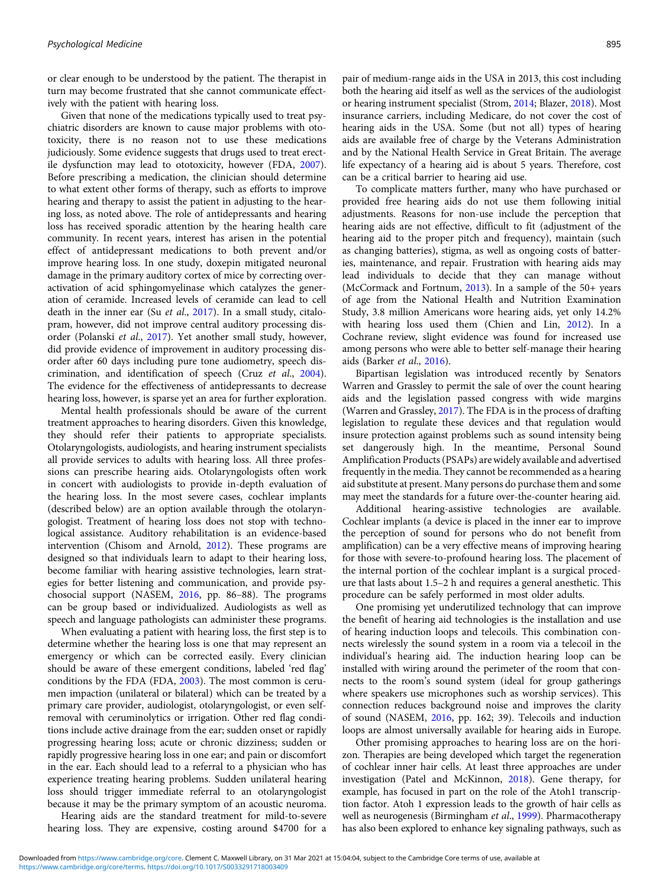or clear enough to be understood by the patient. The therapist in turn may become frustrated that she cannot communicate effectively with the patient with hearing loss.

Given that none of the medications typically used to treat psychiatric disorders are known to cause major problems with ototoxicity, there is no reason not to use these medications judiciously. Some evidence suggests that drugs used to treat erectile dysfunction may lead to ototoxicity, however (FDA, [2007\)](#page-5-0). Before prescribing a medication, the clinician should determine to what extent other forms of therapy, such as efforts to improve hearing and therapy to assist the patient in adjusting to the hearing loss, as noted above. The role of antidepressants and hearing loss has received sporadic attention by the hearing health care community. In recent years, interest has arisen in the potential effect of antidepressant medications to both prevent and/or improve hearing loss. In one study, doxepin mitigated neuronal damage in the primary auditory cortex of mice by correcting overactivation of acid sphingomyelinase which catalyzes the generation of ceramide. Increased levels of ceramide can lead to cell death in the inner ear (Su et al., [2017\)](#page-6-0). In a small study, citalopram, however, did not improve central auditory processing disorder (Polanski et al., [2017\)](#page-6-0). Yet another small study, however, did provide evidence of improvement in auditory processing disorder after 60 days including pure tone audiometry, speech discrimination, and identification of speech (Cruz et al., [2004\)](#page-5-0). The evidence for the effectiveness of antidepressants to decrease hearing loss, however, is sparse yet an area for further exploration.

Mental health professionals should be aware of the current treatment approaches to hearing disorders. Given this knowledge, they should refer their patients to appropriate specialists. Otolaryngologists, audiologists, and hearing instrument specialists all provide services to adults with hearing loss. All three professions can prescribe hearing aids. Otolaryngologists often work in concert with audiologists to provide in-depth evaluation of the hearing loss. In the most severe cases, cochlear implants (described below) are an option available through the otolaryngologist. Treatment of hearing loss does not stop with technological assistance. Auditory rehabilitation is an evidence-based intervention (Chisom and Arnold, [2012\)](#page-5-0). These programs are designed so that individuals learn to adapt to their hearing loss, become familiar with hearing assistive technologies, learn strategies for better listening and communication, and provide psychosocial support (NASEM, [2016](#page-6-0), pp. 86–88). The programs can be group based or individualized. Audiologists as well as speech and language pathologists can administer these programs.

When evaluating a patient with hearing loss, the first step is to determine whether the hearing loss is one that may represent an emergency or which can be corrected easily. Every clinician should be aware of these emergent conditions, labeled 'red flag' conditions by the FDA (FDA, [2003\)](#page-5-0). The most common is cerumen impaction (unilateral or bilateral) which can be treated by a primary care provider, audiologist, otolaryngologist, or even selfremoval with ceruminolytics or irrigation. Other red flag conditions include active drainage from the ear; sudden onset or rapidly progressing hearing loss; acute or chronic dizziness; sudden or rapidly progressive hearing loss in one ear; and pain or discomfort in the ear. Each should lead to a referral to a physician who has experience treating hearing problems. Sudden unilateral hearing loss should trigger immediate referral to an otolaryngologist because it may be the primary symptom of an acoustic neuroma.

Hearing aids are the standard treatment for mild-to-severe hearing loss. They are expensive, costing around \$4700 for a

pair of medium-range aids in the USA in 2013, this cost including both the hearing aid itself as well as the services of the audiologist or hearing instrument specialist (Strom, [2014;](#page-6-0) Blazer, [2018\)](#page-5-0). Most insurance carriers, including Medicare, do not cover the cost of hearing aids in the USA. Some (but not all) types of hearing aids are available free of charge by the Veterans Administration and by the National Health Service in Great Britain. The average life expectancy of a hearing aid is about 5 years. Therefore, cost can be a critical barrier to hearing aid use.

To complicate matters further, many who have purchased or provided free hearing aids do not use them following initial adjustments. Reasons for non-use include the perception that hearing aids are not effective, difficult to fit (adjustment of the hearing aid to the proper pitch and frequency), maintain (such as changing batteries), stigma, as well as ongoing costs of batteries, maintenance, and repair. Frustration with hearing aids may lead individuals to decide that they can manage without (McCormack and Fortnum, [2013\)](#page-6-0). In a sample of the 50+ years of age from the National Health and Nutrition Examination Study, 3.8 million Americans wore hearing aids, yet only 14.2% with hearing loss used them (Chien and Lin, [2012](#page-5-0)). In a Cochrane review, slight evidence was found for increased use among persons who were able to better self-manage their hearing aids (Barker et al., [2016\)](#page-5-0).

Bipartisan legislation was introduced recently by Senators Warren and Grassley to permit the sale of over the count hearing aids and the legislation passed congress with wide margins (Warren and Grassley, [2017](#page-6-0)). The FDA is in the process of drafting legislation to regulate these devices and that regulation would insure protection against problems such as sound intensity being set dangerously high. In the meantime, Personal Sound Amplification Products (PSAPs) are widely available and advertised frequently in the media. They cannot be recommended as a hearing aid substitute at present. Many persons do purchase them and some may meet the standards for a future over-the-counter hearing aid.

Additional hearing-assistive technologies are available. Cochlear implants (a device is placed in the inner ear to improve the perception of sound for persons who do not benefit from amplification) can be a very effective means of improving hearing for those with severe-to-profound hearing loss. The placement of the internal portion of the cochlear implant is a surgical procedure that lasts about 1.5–2 h and requires a general anesthetic. This procedure can be safely performed in most older adults.

One promising yet underutilized technology that can improve the benefit of hearing aid technologies is the installation and use of hearing induction loops and telecoils. This combination connects wirelessly the sound system in a room via a telecoil in the individual's hearing aid. The induction hearing loop can be installed with wiring around the perimeter of the room that connects to the room's sound system (ideal for group gatherings where speakers use microphones such as worship services). This connection reduces background noise and improves the clarity of sound (NASEM, [2016](#page-6-0), pp. 162; 39). Telecoils and induction loops are almost universally available for hearing aids in Europe.

Other promising approaches to hearing loss are on the horizon. Therapies are being developed which target the regeneration of cochlear inner hair cells. At least three approaches are under investigation (Patel and McKinnon, [2018\)](#page-6-0). Gene therapy, for example, has focused in part on the role of the Atoh1 transcription factor. Atoh 1 expression leads to the growth of hair cells as well as neurogenesis (Birmingham et al., [1999\)](#page-5-0). Pharmacotherapy has also been explored to enhance key signaling pathways, such as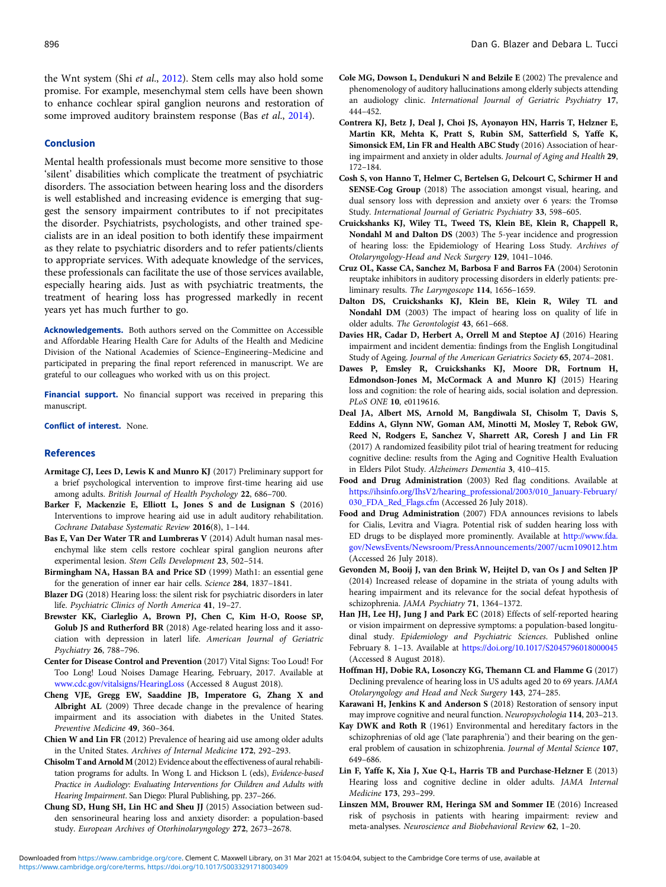<span id="page-5-0"></span>the Wnt system (Shi et al., [2012](#page-6-0)). Stem cells may also hold some promise. For example, mesenchymal stem cells have been shown to enhance cochlear spiral ganglion neurons and restoration of some improved auditory brainstem response (Bas et al., 2014).

#### Conclusion

Mental health professionals must become more sensitive to those 'silent' disabilities which complicate the treatment of psychiatric disorders. The association between hearing loss and the disorders is well established and increasing evidence is emerging that suggest the sensory impairment contributes to if not precipitates the disorder. Psychiatrists, psychologists, and other trained specialists are in an ideal position to both identify these impairment as they relate to psychiatric disorders and to refer patients/clients to appropriate services. With adequate knowledge of the services, these professionals can facilitate the use of those services available, especially hearing aids. Just as with psychiatric treatments, the treatment of hearing loss has progressed markedly in recent years yet has much further to go.

Acknowledgements. Both authors served on the Committee on Accessible and Affordable Hearing Health Care for Adults of the Health and Medicine Division of the National Academies of Science–Engineering–Medicine and participated in preparing the final report referenced in manuscript. We are grateful to our colleagues who worked with us on this project.

Financial support. No financial support was received in preparing this manuscript.

Conflict of interest. None.

#### References

- Armitage CJ, Lees D, Lewis K and Munro KJ (2017) Preliminary support for a brief psychological intervention to improve first-time hearing aid use among adults. British Journal of Health Psychology 22, 686–700.
- Barker F, Mackenzie E, Elliott L, Jones S and de Lusignan S (2016) Interventions to improve hearing aid use in adult auditory rehabilitation. Cochrane Database Systematic Review 2016(8), 1–144.
- Bas E, Van Der Water TR and Lumbreras V (2014) Adult human nasal mesenchymal like stem cells restore cochlear spiral ganglion neurons after experimental lesion. Stem Cells Development 23, 502–514.
- Birmingham NA, Hassan BA and Price SD (1999) Math1: an essential gene for the generation of inner ear hair cells. Science 284, 1837–1841.
- Blazer DG (2018) Hearing loss: the silent risk for psychiatric disorders in later life. Psychiatric Clinics of North America 41, 19–27.
- Brewster KK, Ciarleglio A, Brown PJ, Chen C, Kim H-O, Roose SP, Golub JS and Rutherford BR (2018) Age-related hearing loss and it association with depression in laterl life. American Journal of Geriatric Psychiatry 26, 788–796.
- Center for Disease Control and Prevention (2017) Vital Signs: Too Loud! For Too Long! Loud Noises Damage Hearing, February, 2017. Available at [www.cdc.gov/vitalsigns/HearingLoss](http://www.cdc.gov/vitalsigns/HearingLoss) (Accessed 8 August 2018).
- Cheng VJE, Gregg EW, Saaddine JB, Imperatore G, Zhang X and Albright AL (2009) Three decade change in the prevalence of hearing impairment and its association with diabetes in the United States. Preventive Medicine 49, 360–364.
- Chien W and Lin FR (2012) Prevalence of hearing aid use among older adults in the United States. Archives of Internal Medicine 172, 292–293.
- Chisolm T and Arnold M (2012) Evidence about the effectiveness of aural rehabilitation programs for adults. In Wong L and Hickson L (eds), Evidence-based Practice in Audiology: Evaluating Interventions for Children and Adults with Hearing Impairment. San Diego: Plural Publishing, pp. 237–266.
- Chung SD, Hung SH, Lin HC and Sheu JJ (2015) Association between sudden sensorineural hearing loss and anxiety disorder: a population-based study. European Archives of Otorhinolaryngology 272, 2673–2678.
- Cole MG, Dowson L, Dendukuri N and Belzile E (2002) The prevalence and phenomenology of auditory hallucinations among elderly subjects attending an audiology clinic. International Journal of Geriatric Psychiatry 17, 444–452.
- Contrera KJ, Betz J, Deal J, Choi JS, Ayonayon HN, Harris T, Helzner E, Martin KR, Mehta K, Pratt S, Rubin SM, Satterfield S, Yaffe K, Simonsick EM, Lin FR and Health ABC Study (2016) Association of hearing impairment and anxiety in older adults. Journal of Aging and Health 29, 172–184.
- Cosh S, von Hanno T, Helmer C, Bertelsen G, Delcourt C, Schirmer H and SENSE-Cog Group (2018) The association amongst visual, hearing, and dual sensory loss with depression and anxiety over 6 years: the Tromsø Study. International Journal of Geriatric Psychiatry 33, 598–605.
- Cruickshanks KJ, Wiley TL, Tweed TS, Klein BE, Klein R, Chappell R, Nondahl M and Dalton DS (2003) The 5-year incidence and progression of hearing loss: the Epidemiology of Hearing Loss Study. Archives of Otolaryngology-Head and Neck Surgery 129, 1041–1046.
- Cruz OL, Kasse CA, Sanchez M, Barbosa F and Barros FA (2004) Serotonin reuptake inhibitors in auditory processing disorders in elderly patients: preliminary results. The Laryngoscope 114, 1656–1659.
- Dalton DS, Cruickshanks KJ, Klein BE, Klein R, Wiley TL and Nondahl DM (2003) The impact of hearing loss on quality of life in older adults. The Gerontologist 43, 661–668.
- Davies HR, Cadar D, Herbert A, Orrell M and Steptoe AJ (2016) Hearing impairment and incident dementia: findings from the English Longitudinal Study of Ageing. Journal of the American Geriatrics Society 65, 2074–2081.
- Dawes P, Emsley R, Cruickshanks KJ, Moore DR, Fortnum H, Edmondson-Jones M, McCormack A and Munro KJ (2015) Hearing loss and cognition: the role of hearing aids, social isolation and depression. PLoS ONE 10, e0119616.
- Deal JA, Albert MS, Arnold M, Bangdiwala SI, Chisolm T, Davis S, Eddins A, Glynn NW, Goman AM, Minotti M, Mosley T, Rebok GW, Reed N, Rodgers E, Sanchez V, Sharrett AR, Coresh J and Lin FR (2017) A randomized feasibility pilot trial of hearing treatment for reducing cognitive decline: results from the Aging and Cognitive Health Evaluation in Elders Pilot Study. Alzheimers Dementia 3, 410–415.
- Food and Drug Administration (2003) Red flag conditions. Available at [https://ihsinfo.org/IhsV2/hearing\\_professional/2003/010\\_January-February/](https://ihsinfo.org/IhsV2/hearing_professional/2003/010_January-February/030_FDA_Red_Flags.cfm) [030\\_FDA\\_Red\\_Flags.cfm](https://ihsinfo.org/IhsV2/hearing_professional/2003/010_January-February/030_FDA_Red_Flags.cfm) (Accessed 26 July 2018).
- Food and Drug Administration (2007) FDA announces revisions to labels for Cialis, Levitra and Viagra. Potential risk of sudden hearing loss with ED drugs to be displayed more prominently. Available at [http://www.fda.](http://www.fda.gov/NewsEvents/Newsroom/PressAnnouncements/2007/ucm109012.htm) [gov/NewsEvents/Newsroom/PressAnnouncements/2007/ucm109012.htm](http://www.fda.gov/NewsEvents/Newsroom/PressAnnouncements/2007/ucm109012.htm) (Accessed 26 July 2018).
- Gevonden M, Booij J, van den Brink W, Heijtel D, van Os J and Selten JP (2014) Increased release of dopamine in the striata of young adults with hearing impairment and its relevance for the social defeat hypothesis of schizophrenia. JAMA Psychiatry 71, 1364–1372.
- Han JH, Lee HJ, Jung J and Park EC (2018) Effects of self-reported hearing or vision impairment on depressive symptoms: a population-based longitudinal study. Epidemiology and Psychiatric Sciences. Published online February 8. 1–13. Available at <https://doi.org/10.1017/S2045796018000045> (Accessed 8 August 2018).
- Hoffman HJ, Dobie RA, Losonczy KG, Themann CL and Flamme G (2017) Declining prevalence of hearing loss in US adults aged 20 to 69 years. JAMA Otolaryngology and Head and Neck Surgery 143, 274–285.
- Karawani H, Jenkins K and Anderson S (2018) Restoration of sensory input may improve cognitive and neural function. Neuropsychologia 114, 203–213.
- Kay DWK and Roth R (1961) Environmental and hereditary factors in the schizophrenias of old age ('late paraphrenia') and their bearing on the general problem of causation in schizophrenia. Journal of Mental Science 107, 649–686.
- Lin F, Yaffe K, Xia J, Xue Q-L, Harris TB and Purchase-Helzner E (2013) Hearing loss and cognitive decline in older adults. JAMA Internal Medicine 173, 293–299.
- Linszen MM, Brouwer RM, Heringa SM and Sommer IE (2016) Increased risk of psychosis in patients with hearing impairment: review and meta-analyses. Neuroscience and Biobehavioral Review 62, 1–20.